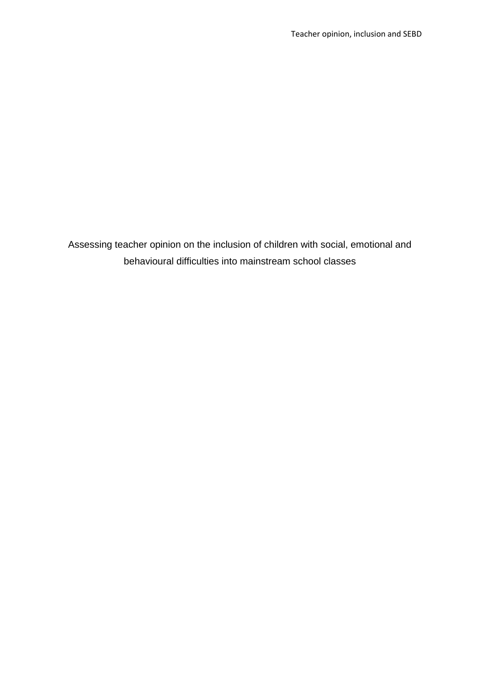Assessing teacher opinion on the inclusion of children with social, emotional and behavioural difficulties into mainstream school classes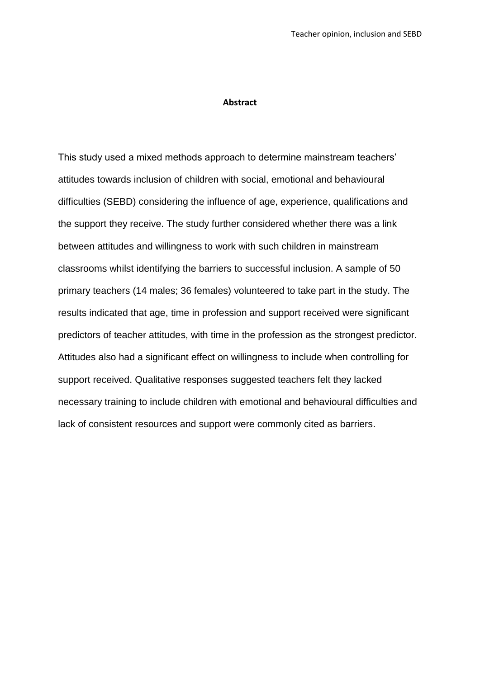#### **Abstract**

This study used a mixed methods approach to determine mainstream teachers' attitudes towards inclusion of children with social, emotional and behavioural difficulties (SEBD) considering the influence of age, experience, qualifications and the support they receive. The study further considered whether there was a link between attitudes and willingness to work with such children in mainstream classrooms whilst identifying the barriers to successful inclusion. A sample of 50 primary teachers (14 males; 36 females) volunteered to take part in the study. The results indicated that age, time in profession and support received were significant predictors of teacher attitudes, with time in the profession as the strongest predictor. Attitudes also had a significant effect on willingness to include when controlling for support received. Qualitative responses suggested teachers felt they lacked necessary training to include children with emotional and behavioural difficulties and lack of consistent resources and support were commonly cited as barriers.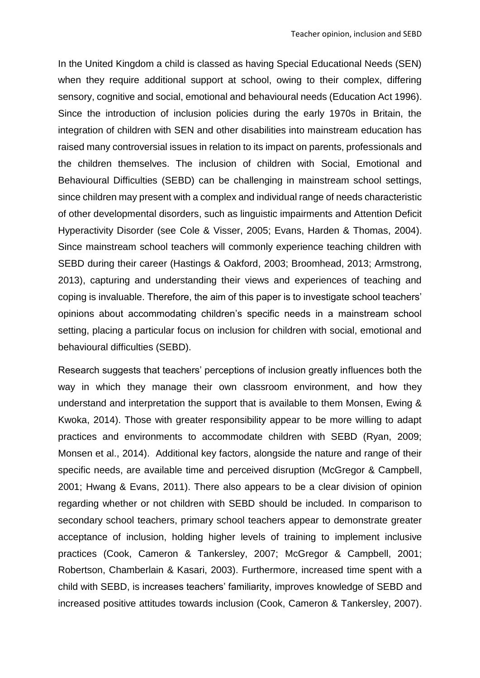In the United Kingdom a child is classed as having Special Educational Needs (SEN) when they require additional support at school, owing to their complex, differing sensory, cognitive and social, emotional and behavioural needs (Education Act 1996). Since the introduction of inclusion policies during the early 1970s in Britain, the integration of children with SEN and other disabilities into mainstream education has raised many controversial issues in relation to its impact on parents, professionals and the children themselves. The inclusion of children with Social, Emotional and Behavioural Difficulties (SEBD) can be challenging in mainstream school settings, since children may present with a complex and individual range of needs characteristic of other developmental disorders, such as linguistic impairments and Attention Deficit Hyperactivity Disorder (see Cole & Visser, 2005; Evans, Harden & Thomas, 2004). Since mainstream school teachers will commonly experience teaching children with SEBD during their career (Hastings & Oakford, 2003; Broomhead, 2013; Armstrong, 2013), capturing and understanding their views and experiences of teaching and coping is invaluable. Therefore, the aim of this paper is to investigate school teachers' opinions about accommodating children's specific needs in a mainstream school setting, placing a particular focus on inclusion for children with social, emotional and behavioural difficulties (SEBD).

Research suggests that teachers' perceptions of inclusion greatly influences both the way in which they manage their own classroom environment, and how they understand and interpretation the support that is available to them Monsen, Ewing & Kwoka, 2014). Those with greater responsibility appear to be more willing to adapt practices and environments to accommodate children with SEBD (Ryan, 2009; Monsen et al., 2014). Additional key factors, alongside the nature and range of their specific needs, are available time and perceived disruption (McGregor & Campbell, 2001; Hwang & Evans, 2011). There also appears to be a clear division of opinion regarding whether or not children with SEBD should be included. In comparison to secondary school teachers, primary school teachers appear to demonstrate greater acceptance of inclusion, holding higher levels of training to implement inclusive practices (Cook, Cameron & Tankersley, 2007; McGregor & Campbell, 2001; Robertson, Chamberlain & Kasari, 2003). Furthermore, increased time spent with a child with SEBD, is increases teachers' familiarity, improves knowledge of SEBD and increased positive attitudes towards inclusion (Cook, Cameron & Tankersley, 2007).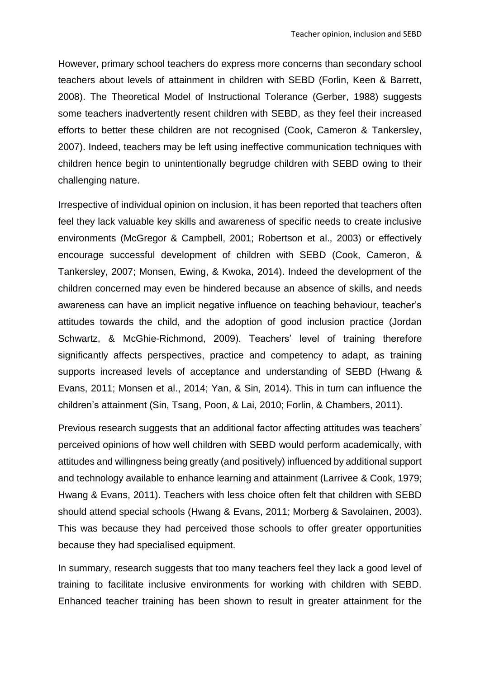However, primary school teachers do express more concerns than secondary school teachers about levels of attainment in children with SEBD (Forlin, Keen & Barrett, 2008). The Theoretical Model of Instructional Tolerance (Gerber, 1988) suggests some teachers inadvertently resent children with SEBD, as they feel their increased efforts to better these children are not recognised (Cook, Cameron & Tankersley, 2007). Indeed, teachers may be left using ineffective communication techniques with children hence begin to unintentionally begrudge children with SEBD owing to their challenging nature.

Irrespective of individual opinion on inclusion, it has been reported that teachers often feel they lack valuable key skills and awareness of specific needs to create inclusive environments (McGregor & Campbell, 2001; Robertson et al., 2003) or effectively encourage successful development of children with SEBD (Cook, Cameron, & Tankersley, 2007; Monsen, Ewing, & Kwoka, 2014). Indeed the development of the children concerned may even be hindered because an absence of skills, and needs awareness can have an implicit negative influence on teaching behaviour, teacher's attitudes towards the child, and the adoption of good inclusion practice (Jordan Schwartz, & McGhie-Richmond, 2009). Teachers' level of training therefore significantly affects perspectives, practice and competency to adapt, as training supports increased levels of acceptance and understanding of SEBD (Hwang & Evans, 2011; Monsen et al., 2014; Yan, & Sin, 2014). This in turn can influence the children's attainment (Sin, Tsang, Poon, & Lai, 2010; Forlin, & Chambers, 2011).

Previous research suggests that an additional factor affecting attitudes was teachers' perceived opinions of how well children with SEBD would perform academically, with attitudes and willingness being greatly (and positively) influenced by additional support and technology available to enhance learning and attainment (Larrivee & Cook, 1979; Hwang & Evans, 2011). Teachers with less choice often felt that children with SEBD should attend special schools (Hwang & Evans, 2011; Morberg & Savolainen, 2003). This was because they had perceived those schools to offer greater opportunities because they had specialised equipment.

In summary, research suggests that too many teachers feel they lack a good level of training to facilitate inclusive environments for working with children with SEBD. Enhanced teacher training has been shown to result in greater attainment for the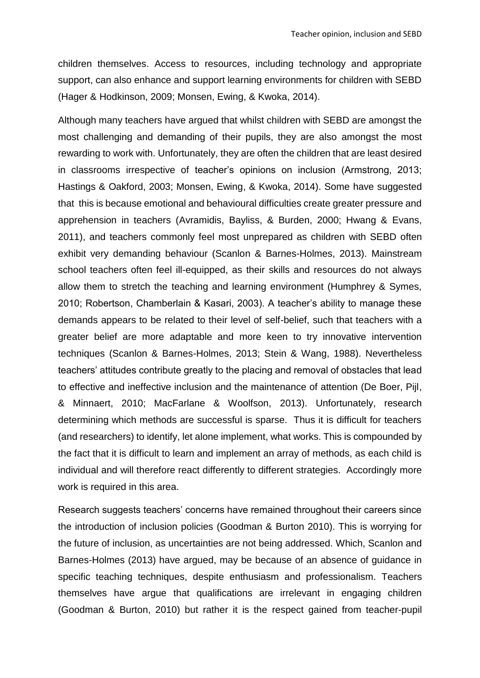children themselves. Access to resources, including technology and appropriate support, can also enhance and support learning environments for children with SEBD (Hager & Hodkinson, 2009; Monsen, Ewing, & Kwoka, 2014).

Although many teachers have argued that whilst children with SEBD are amongst the most challenging and demanding of their pupils, they are also amongst the most rewarding to work with. Unfortunately, they are often the children that are least desired in classrooms irrespective of teacher's opinions on inclusion (Armstrong, 2013; Hastings & Oakford, 2003; Monsen, Ewing, & Kwoka, 2014). Some have suggested that this is because emotional and behavioural difficulties create greater pressure and apprehension in teachers (Avramidis, Bayliss, & Burden, 2000; Hwang & Evans, 2011), and teachers commonly feel most unprepared as children with SEBD often exhibit very demanding behaviour (Scanlon & Barnes-Holmes, 2013). Mainstream school teachers often feel ill-equipped, as their skills and resources do not always allow them to stretch the teaching and learning environment (Humphrey & Symes, 2010; Robertson, Chamberlain & Kasari, 2003). A teacher's ability to manage these demands appears to be related to their level of self-belief, such that teachers with a greater belief are more adaptable and more keen to try innovative intervention techniques (Scanlon & Barnes-Holmes, 2013; Stein & Wang, 1988). Nevertheless teachers' attitudes contribute greatly to the placing and removal of obstacles that lead to effective and ineffective inclusion and the maintenance of attention (De Boer, Pijl, & Minnaert, 2010; MacFarlane & Woolfson, 2013). Unfortunately, research determining which methods are successful is sparse. Thus it is difficult for teachers (and researchers) to identify, let alone implement, what works. This is compounded by the fact that it is difficult to learn and implement an array of methods, as each child is individual and will therefore react differently to different strategies. Accordingly more work is required in this area.

Research suggests teachers' concerns have remained throughout their careers since the introduction of inclusion policies (Goodman & Burton 2010). This is worrying for the future of inclusion, as uncertainties are not being addressed. Which, Scanlon and Barnes-Holmes (2013) have argued, may be because of an absence of guidance in specific teaching techniques, despite enthusiasm and professionalism. Teachers themselves have argue that qualifications are irrelevant in engaging children (Goodman & Burton, 2010) but rather it is the respect gained from teacher-pupil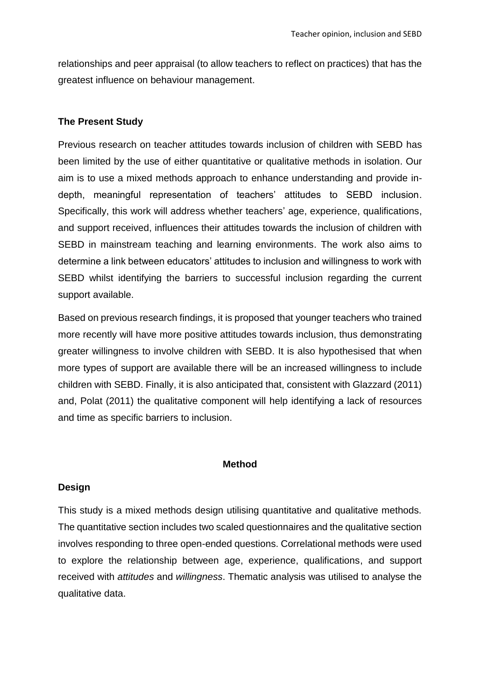relationships and peer appraisal (to allow teachers to reflect on practices) that has the greatest influence on behaviour management.

## **The Present Study**

Previous research on teacher attitudes towards inclusion of children with SEBD has been limited by the use of either quantitative or qualitative methods in isolation. Our aim is to use a mixed methods approach to enhance understanding and provide indepth, meaningful representation of teachers' attitudes to SEBD inclusion. Specifically, this work will address whether teachers' age, experience, qualifications, and support received, influences their attitudes towards the inclusion of children with SEBD in mainstream teaching and learning environments. The work also aims to determine a link between educators' attitudes to inclusion and willingness to work with SEBD whilst identifying the barriers to successful inclusion regarding the current support available.

Based on previous research findings, it is proposed that younger teachers who trained more recently will have more positive attitudes towards inclusion, thus demonstrating greater willingness to involve children with SEBD. It is also hypothesised that when more types of support are available there will be an increased willingness to include children with SEBD. Finally, it is also anticipated that, consistent with Glazzard (2011) and, Polat (2011) the qualitative component will help identifying a lack of resources and time as specific barriers to inclusion.

#### **Method**

## **Design**

This study is a mixed methods design utilising quantitative and qualitative methods. The quantitative section includes two scaled questionnaires and the qualitative section involves responding to three open-ended questions. Correlational methods were used to explore the relationship between age, experience, qualifications, and support received with *attitudes* and *willingness*. Thematic analysis was utilised to analyse the qualitative data.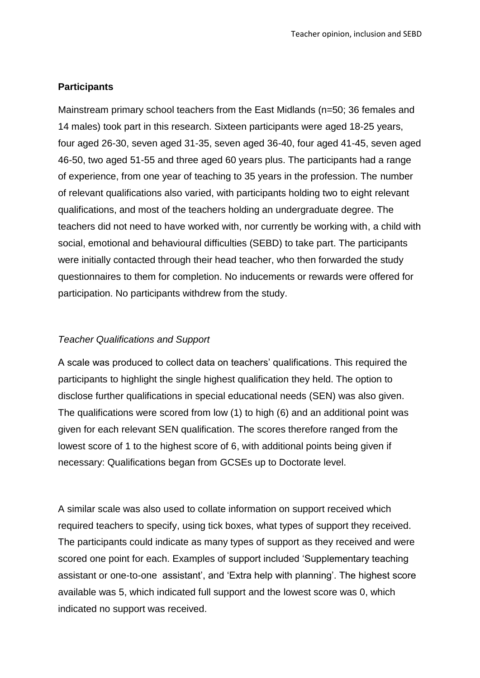## **Participants**

Mainstream primary school teachers from the East Midlands (n=50; 36 females and 14 males) took part in this research. Sixteen participants were aged 18-25 years, four aged 26-30, seven aged 31-35, seven aged 36-40, four aged 41-45, seven aged 46-50, two aged 51-55 and three aged 60 years plus. The participants had a range of experience, from one year of teaching to 35 years in the profession. The number of relevant qualifications also varied, with participants holding two to eight relevant qualifications, and most of the teachers holding an undergraduate degree. The teachers did not need to have worked with, nor currently be working with, a child with social, emotional and behavioural difficulties (SEBD) to take part. The participants were initially contacted through their head teacher, who then forwarded the study questionnaires to them for completion. No inducements or rewards were offered for participation. No participants withdrew from the study.

## *Teacher Qualifications and Support*

A scale was produced to collect data on teachers' qualifications. This required the participants to highlight the single highest qualification they held. The option to disclose further qualifications in special educational needs (SEN) was also given. The qualifications were scored from low (1) to high (6) and an additional point was given for each relevant SEN qualification. The scores therefore ranged from the lowest score of 1 to the highest score of 6, with additional points being given if necessary: Qualifications began from GCSEs up to Doctorate level.

A similar scale was also used to collate information on support received which required teachers to specify, using tick boxes, what types of support they received. The participants could indicate as many types of support as they received and were scored one point for each. Examples of support included 'Supplementary teaching assistant or one-to-one assistant', and 'Extra help with planning'. The highest score available was 5, which indicated full support and the lowest score was 0, which indicated no support was received.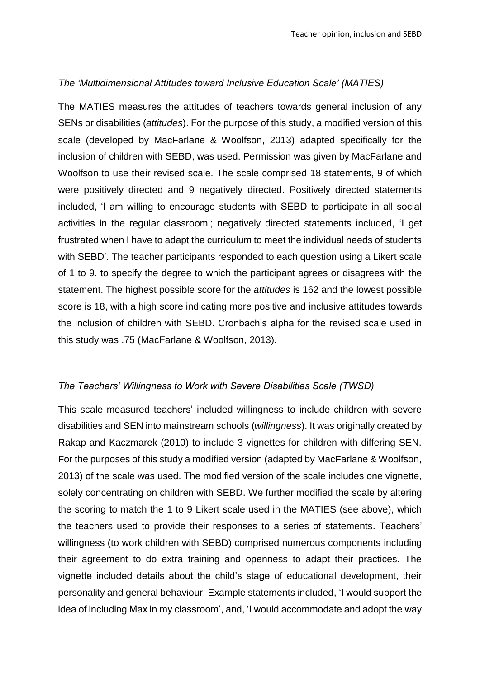## *The 'Multidimensional Attitudes toward Inclusive Education Scale' (MATIES)*

The MATIES measures the attitudes of teachers towards general inclusion of any SENs or disabilities (*attitudes*). For the purpose of this study, a modified version of this scale (developed by MacFarlane & Woolfson, 2013) adapted specifically for the inclusion of children with SEBD, was used. Permission was given by MacFarlane and Woolfson to use their revised scale. The scale comprised 18 statements, 9 of which were positively directed and 9 negatively directed. Positively directed statements included, 'I am willing to encourage students with SEBD to participate in all social activities in the regular classroom'; negatively directed statements included, 'I get frustrated when I have to adapt the curriculum to meet the individual needs of students with SEBD'. The teacher participants responded to each question using a Likert scale of 1 to 9. to specify the degree to which the participant agrees or disagrees with the statement. The highest possible score for the *attitudes* is 162 and the lowest possible score is 18, with a high score indicating more positive and inclusive attitudes towards the inclusion of children with SEBD. Cronbach's alpha for the revised scale used in this study was .75 (MacFarlane & Woolfson, 2013).

## *The Teachers' Willingness to Work with Severe Disabilities Scale (TWSD)*

This scale measured teachers' included willingness to include children with severe disabilities and SEN into mainstream schools (*willingness*). It was originally created by Rakap and Kaczmarek (2010) to include 3 vignettes for children with differing SEN. For the purposes of this study a modified version (adapted by MacFarlane & Woolfson, 2013) of the scale was used. The modified version of the scale includes one vignette, solely concentrating on children with SEBD. We further modified the scale by altering the scoring to match the 1 to 9 Likert scale used in the MATIES (see above), which the teachers used to provide their responses to a series of statements. Teachers' willingness (to work children with SEBD) comprised numerous components including their agreement to do extra training and openness to adapt their practices. The vignette included details about the child's stage of educational development, their personality and general behaviour. Example statements included, 'I would support the idea of including Max in my classroom', and, 'I would accommodate and adopt the way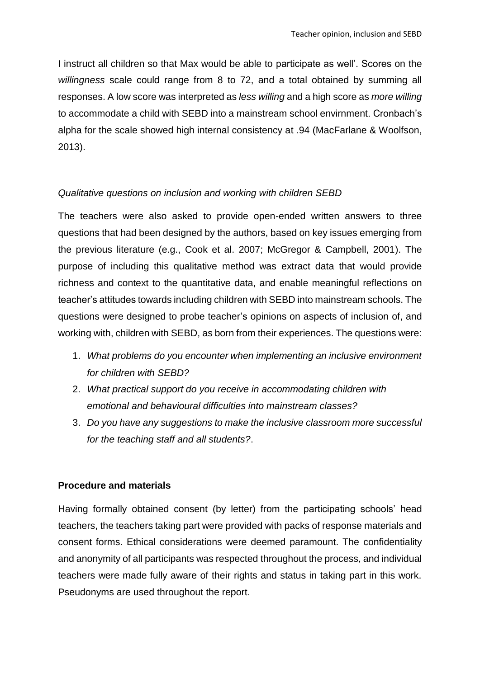I instruct all children so that Max would be able to participate as well'. Scores on the *willingness* scale could range from 8 to 72, and a total obtained by summing all responses. A low score was interpreted as *less willing* and a high score as *more willing* to accommodate a child with SEBD into a mainstream school envirnment. Cronbach's alpha for the scale showed high internal consistency at .94 (MacFarlane & Woolfson, 2013).

## *Qualitative questions on inclusion and working with children SEBD*

The teachers were also asked to provide open-ended written answers to three questions that had been designed by the authors, based on key issues emerging from the previous literature (e.g., Cook et al. 2007; McGregor & Campbell, 2001). The purpose of including this qualitative method was extract data that would provide richness and context to the quantitative data, and enable meaningful reflections on teacher's attitudes towards including children with SEBD into mainstream schools. The questions were designed to probe teacher's opinions on aspects of inclusion of, and working with, children with SEBD, as born from their experiences. The questions were:

- 1. *What problems do you encounter when implementing an inclusive environment for children with SEBD?*
- 2. *What practical support do you receive in accommodating children with emotional and behavioural difficulties into mainstream classes?*
- 3. *Do you have any suggestions to make the inclusive classroom more successful for the teaching staff and all students?*.

## **Procedure and materials**

Having formally obtained consent (by letter) from the participating schools' head teachers, the teachers taking part were provided with packs of response materials and consent forms. Ethical considerations were deemed paramount. The confidentiality and anonymity of all participants was respected throughout the process, and individual teachers were made fully aware of their rights and status in taking part in this work. Pseudonyms are used throughout the report.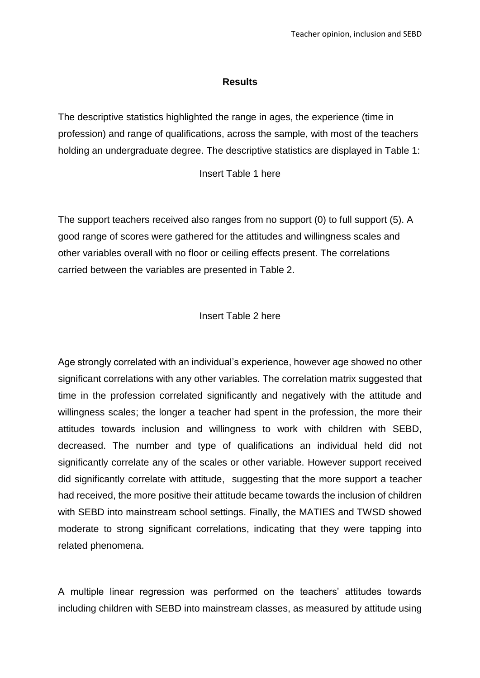#### **Results**

The descriptive statistics highlighted the range in ages, the experience (time in profession) and range of qualifications, across the sample, with most of the teachers holding an undergraduate degree. The descriptive statistics are displayed in Table 1:

#### Insert Table 1 here

The support teachers received also ranges from no support (0) to full support (5). A good range of scores were gathered for the attitudes and willingness scales and other variables overall with no floor or ceiling effects present. The correlations carried between the variables are presented in Table 2.

Insert Table 2 here

Age strongly correlated with an individual's experience, however age showed no other significant correlations with any other variables. The correlation matrix suggested that time in the profession correlated significantly and negatively with the attitude and willingness scales; the longer a teacher had spent in the profession, the more their attitudes towards inclusion and willingness to work with children with SEBD, decreased. The number and type of qualifications an individual held did not significantly correlate any of the scales or other variable. However support received did significantly correlate with attitude, suggesting that the more support a teacher had received, the more positive their attitude became towards the inclusion of children with SEBD into mainstream school settings. Finally, the MATIES and TWSD showed moderate to strong significant correlations, indicating that they were tapping into related phenomena.

A multiple linear regression was performed on the teachers' attitudes towards including children with SEBD into mainstream classes, as measured by attitude using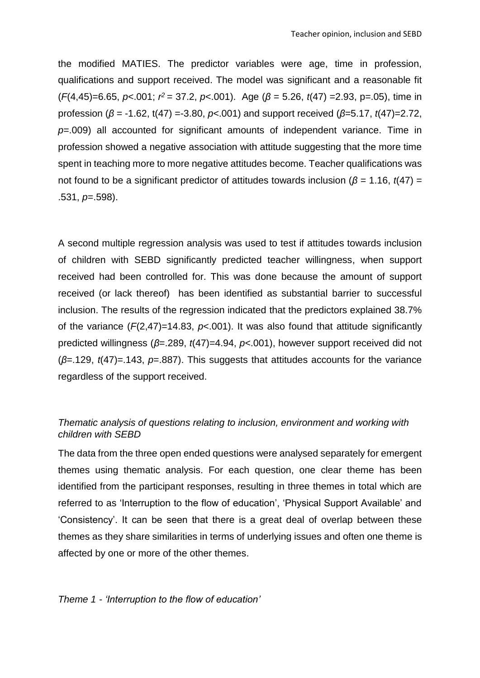the modified MATIES. The predictor variables were age, time in profession, qualifications and support received. The model was significant and a reasonable fit (*F*(4,45)=6.65, *p*<.001; *r <sup>2</sup>* = 37.2, *p*<.001). Age (*β* = 5.26, *t*(47) =2.93, p=.05), time in profession (*β* = -1.62, t(47) =-3.80, *p*<.001) and support received (*β*=5.17, *t*(47)=2.72, *p*=.009) all accounted for significant amounts of independent variance. Time in profession showed a negative association with attitude suggesting that the more time spent in teaching more to more negative attitudes become. Teacher qualifications was not found to be a significant predictor of attitudes towards inclusion ( $\beta$  = 1.16,  $t(47)$  = .531, *p*=.598).

A second multiple regression analysis was used to test if attitudes towards inclusion of children with SEBD significantly predicted teacher willingness, when support received had been controlled for. This was done because the amount of support received (or lack thereof) has been identified as substantial barrier to successful inclusion. The results of the regression indicated that the predictors explained 38.7% of the variance  $(F(2,47)=14.83, p<0.001)$ . It was also found that attitude significantly predicted willingness (*β*=.289, *t*(47)=4.94, *p*<.001), however support received did not (*β*=.129, *t*(47)=.143, *p*=.887). This suggests that attitudes accounts for the variance regardless of the support received.

# *Thematic analysis of questions relating to inclusion, environment and working with children with SEBD*

The data from the three open ended questions were analysed separately for emergent themes using thematic analysis. For each question, one clear theme has been identified from the participant responses, resulting in three themes in total which are referred to as 'Interruption to the flow of education', 'Physical Support Available' and 'Consistency'. It can be seen that there is a great deal of overlap between these themes as they share similarities in terms of underlying issues and often one theme is affected by one or more of the other themes.

*Theme 1 - 'Interruption to the flow of education'*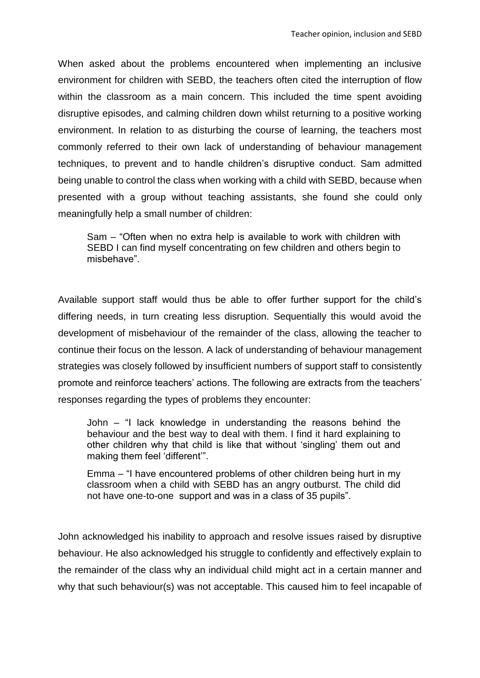When asked about the problems encountered when implementing an inclusive environment for children with SEBD, the teachers often cited the interruption of flow within the classroom as a main concern. This included the time spent avoiding disruptive episodes, and calming children down whilst returning to a positive working environment. In relation to as disturbing the course of learning, the teachers most commonly referred to their own lack of understanding of behaviour management techniques, to prevent and to handle children's disruptive conduct. Sam admitted being unable to control the class when working with a child with SEBD, because when presented with a group without teaching assistants, she found she could only meaningfully help a small number of children:

Sam – "Often when no extra help is available to work with children with SEBD I can find myself concentrating on few children and others begin to misbehave".

Available support staff would thus be able to offer further support for the child's differing needs, in turn creating less disruption. Sequentially this would avoid the development of misbehaviour of the remainder of the class, allowing the teacher to continue their focus on the lesson. A lack of understanding of behaviour management strategies was closely followed by insufficient numbers of support staff to consistently promote and reinforce teachers' actions. The following are extracts from the teachers' responses regarding the types of problems they encounter:

John – "I lack knowledge in understanding the reasons behind the behaviour and the best way to deal with them. I find it hard explaining to other children why that child is like that without 'singling' them out and making them feel 'different'".

Emma – "I have encountered problems of other children being hurt in my classroom when a child with SEBD has an angry outburst. The child did not have one-to-one support and was in a class of 35 pupils".

John acknowledged his inability to approach and resolve issues raised by disruptive behaviour. He also acknowledged his struggle to confidently and effectively explain to the remainder of the class why an individual child might act in a certain manner and why that such behaviour(s) was not acceptable. This caused him to feel incapable of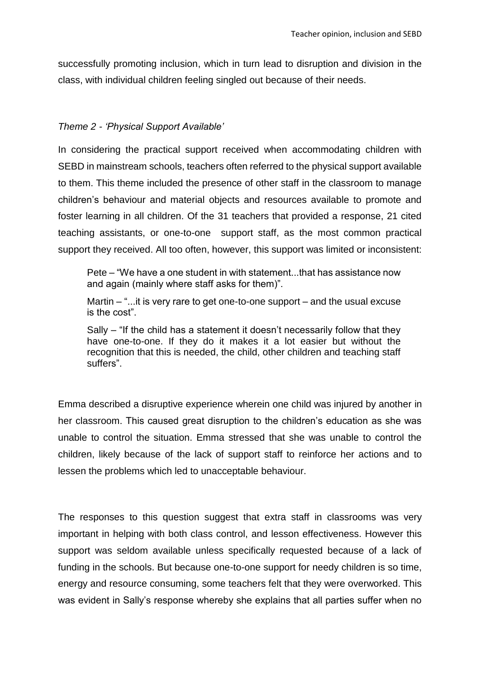successfully promoting inclusion, which in turn lead to disruption and division in the class, with individual children feeling singled out because of their needs.

## *Theme 2 - 'Physical Support Available'*

In considering the practical support received when accommodating children with SEBD in mainstream schools, teachers often referred to the physical support available to them. This theme included the presence of other staff in the classroom to manage children's behaviour and material objects and resources available to promote and foster learning in all children. Of the 31 teachers that provided a response, 21 cited teaching assistants, or one-to-one support staff, as the most common practical support they received. All too often, however, this support was limited or inconsistent:

Pete – "We have a one student in with statement...that has assistance now and again (mainly where staff asks for them)".

Martin – "...it is very rare to get one-to-one support – and the usual excuse is the cost".

Sally – "If the child has a statement it doesn't necessarily follow that they have one-to-one. If they do it makes it a lot easier but without the recognition that this is needed, the child, other children and teaching staff suffers".

Emma described a disruptive experience wherein one child was injured by another in her classroom. This caused great disruption to the children's education as she was unable to control the situation. Emma stressed that she was unable to control the children, likely because of the lack of support staff to reinforce her actions and to lessen the problems which led to unacceptable behaviour.

The responses to this question suggest that extra staff in classrooms was very important in helping with both class control, and lesson effectiveness. However this support was seldom available unless specifically requested because of a lack of funding in the schools. But because one-to-one support for needy children is so time, energy and resource consuming, some teachers felt that they were overworked. This was evident in Sally's response whereby she explains that all parties suffer when no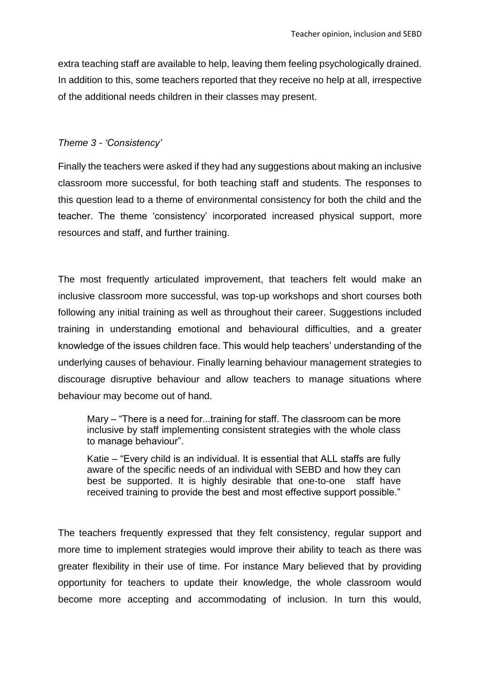extra teaching staff are available to help, leaving them feeling psychologically drained. In addition to this, some teachers reported that they receive no help at all, irrespective of the additional needs children in their classes may present.

## *Theme 3 - 'Consistency'*

Finally the teachers were asked if they had any suggestions about making an inclusive classroom more successful, for both teaching staff and students. The responses to this question lead to a theme of environmental consistency for both the child and the teacher. The theme 'consistency' incorporated increased physical support, more resources and staff, and further training.

The most frequently articulated improvement, that teachers felt would make an inclusive classroom more successful, was top-up workshops and short courses both following any initial training as well as throughout their career. Suggestions included training in understanding emotional and behavioural difficulties, and a greater knowledge of the issues children face. This would help teachers' understanding of the underlying causes of behaviour. Finally learning behaviour management strategies to discourage disruptive behaviour and allow teachers to manage situations where behaviour may become out of hand.

Mary – "There is a need for...training for staff. The classroom can be more inclusive by staff implementing consistent strategies with the whole class to manage behaviour".

Katie – "Every child is an individual. It is essential that ALL staffs are fully aware of the specific needs of an individual with SEBD and how they can best be supported. It is highly desirable that one-to-one staff have received training to provide the best and most effective support possible."

The teachers frequently expressed that they felt consistency, regular support and more time to implement strategies would improve their ability to teach as there was greater flexibility in their use of time. For instance Mary believed that by providing opportunity for teachers to update their knowledge, the whole classroom would become more accepting and accommodating of inclusion. In turn this would,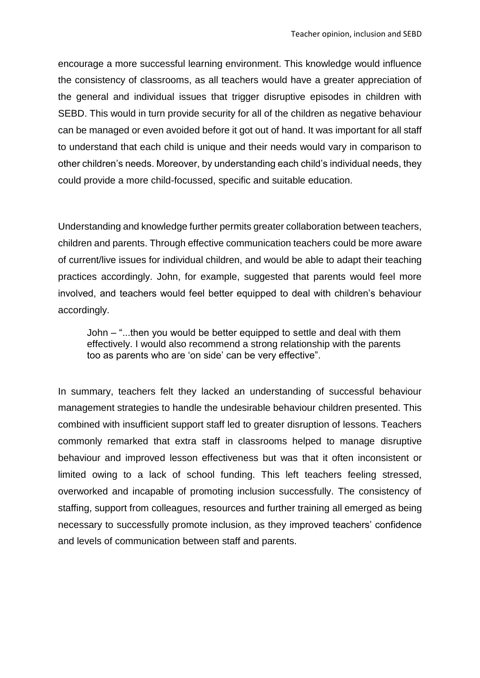encourage a more successful learning environment. This knowledge would influence the consistency of classrooms, as all teachers would have a greater appreciation of the general and individual issues that trigger disruptive episodes in children with SEBD. This would in turn provide security for all of the children as negative behaviour can be managed or even avoided before it got out of hand. It was important for all staff to understand that each child is unique and their needs would vary in comparison to other children's needs. Moreover, by understanding each child's individual needs, they could provide a more child-focussed, specific and suitable education.

Understanding and knowledge further permits greater collaboration between teachers, children and parents. Through effective communication teachers could be more aware of current/live issues for individual children, and would be able to adapt their teaching practices accordingly. John, for example, suggested that parents would feel more involved, and teachers would feel better equipped to deal with children's behaviour accordingly.

John – "...then you would be better equipped to settle and deal with them effectively. I would also recommend a strong relationship with the parents too as parents who are 'on side' can be very effective".

In summary, teachers felt they lacked an understanding of successful behaviour management strategies to handle the undesirable behaviour children presented. This combined with insufficient support staff led to greater disruption of lessons. Teachers commonly remarked that extra staff in classrooms helped to manage disruptive behaviour and improved lesson effectiveness but was that it often inconsistent or limited owing to a lack of school funding. This left teachers feeling stressed, overworked and incapable of promoting inclusion successfully. The consistency of staffing, support from colleagues, resources and further training all emerged as being necessary to successfully promote inclusion, as they improved teachers' confidence and levels of communication between staff and parents.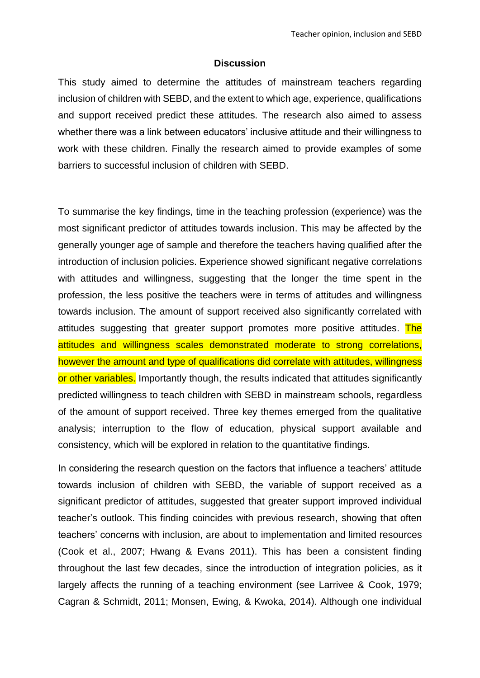#### **Discussion**

This study aimed to determine the attitudes of mainstream teachers regarding inclusion of children with SEBD, and the extent to which age, experience, qualifications and support received predict these attitudes. The research also aimed to assess whether there was a link between educators' inclusive attitude and their willingness to work with these children. Finally the research aimed to provide examples of some barriers to successful inclusion of children with SEBD.

To summarise the key findings, time in the teaching profession (experience) was the most significant predictor of attitudes towards inclusion. This may be affected by the generally younger age of sample and therefore the teachers having qualified after the introduction of inclusion policies. Experience showed significant negative correlations with attitudes and willingness, suggesting that the longer the time spent in the profession, the less positive the teachers were in terms of attitudes and willingness towards inclusion. The amount of support received also significantly correlated with attitudes suggesting that greater support promotes more positive attitudes. The attitudes and willingness scales demonstrated moderate to strong correlations, however the amount and type of qualifications did correlate with attitudes, willingness or other variables. Importantly though, the results indicated that attitudes significantly predicted willingness to teach children with SEBD in mainstream schools, regardless of the amount of support received. Three key themes emerged from the qualitative analysis; interruption to the flow of education, physical support available and consistency, which will be explored in relation to the quantitative findings.

In considering the research question on the factors that influence a teachers' attitude towards inclusion of children with SEBD, the variable of support received as a significant predictor of attitudes, suggested that greater support improved individual teacher's outlook. This finding coincides with previous research, showing that often teachers' concerns with inclusion, are about to implementation and limited resources (Cook et al., 2007; Hwang & Evans 2011). This has been a consistent finding throughout the last few decades, since the introduction of integration policies, as it largely affects the running of a teaching environment (see Larrivee & Cook, 1979; Cagran & Schmidt, 2011; Monsen, Ewing, & Kwoka, 2014). Although one individual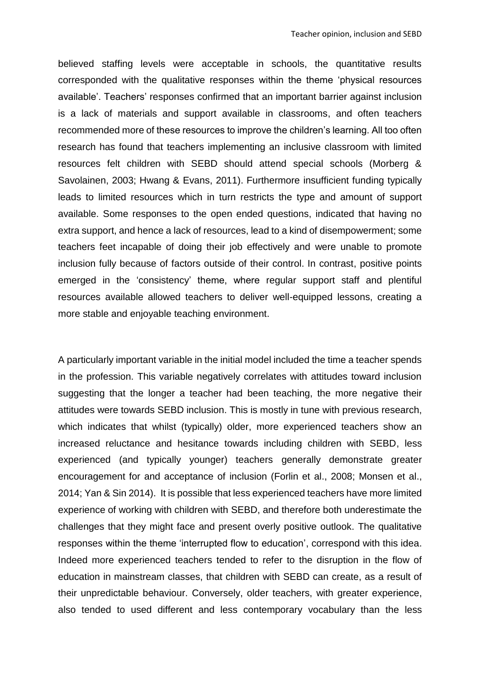believed staffing levels were acceptable in schools, the quantitative results corresponded with the qualitative responses within the theme 'physical resources available'. Teachers' responses confirmed that an important barrier against inclusion is a lack of materials and support available in classrooms, and often teachers recommended more of these resources to improve the children's learning. All too often research has found that teachers implementing an inclusive classroom with limited resources felt children with SEBD should attend special schools (Morberg & Savolainen, 2003; Hwang & Evans, 2011). Furthermore insufficient funding typically leads to limited resources which in turn restricts the type and amount of support available. Some responses to the open ended questions, indicated that having no extra support, and hence a lack of resources, lead to a kind of disempowerment; some teachers feet incapable of doing their job effectively and were unable to promote inclusion fully because of factors outside of their control. In contrast, positive points emerged in the 'consistency' theme, where regular support staff and plentiful resources available allowed teachers to deliver well-equipped lessons, creating a more stable and enjoyable teaching environment.

A particularly important variable in the initial model included the time a teacher spends in the profession. This variable negatively correlates with attitudes toward inclusion suggesting that the longer a teacher had been teaching, the more negative their attitudes were towards SEBD inclusion. This is mostly in tune with previous research, which indicates that whilst (typically) older, more experienced teachers show an increased reluctance and hesitance towards including children with SEBD, less experienced (and typically younger) teachers generally demonstrate greater encouragement for and acceptance of inclusion (Forlin et al., 2008; Monsen et al., 2014; Yan & Sin 2014). It is possible that less experienced teachers have more limited experience of working with children with SEBD, and therefore both underestimate the challenges that they might face and present overly positive outlook. The qualitative responses within the theme 'interrupted flow to education', correspond with this idea. Indeed more experienced teachers tended to refer to the disruption in the flow of education in mainstream classes, that children with SEBD can create, as a result of their unpredictable behaviour. Conversely, older teachers, with greater experience, also tended to used different and less contemporary vocabulary than the less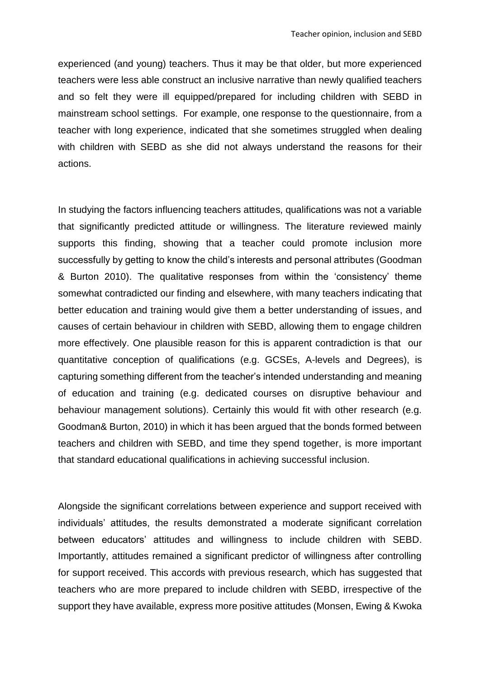experienced (and young) teachers. Thus it may be that older, but more experienced teachers were less able construct an inclusive narrative than newly qualified teachers and so felt they were ill equipped/prepared for including children with SEBD in mainstream school settings. For example, one response to the questionnaire, from a teacher with long experience, indicated that she sometimes struggled when dealing with children with SEBD as she did not always understand the reasons for their actions.

In studying the factors influencing teachers attitudes, qualifications was not a variable that significantly predicted attitude or willingness. The literature reviewed mainly supports this finding, showing that a teacher could promote inclusion more successfully by getting to know the child's interests and personal attributes (Goodman & Burton 2010). The qualitative responses from within the 'consistency' theme somewhat contradicted our finding and elsewhere, with many teachers indicating that better education and training would give them a better understanding of issues, and causes of certain behaviour in children with SEBD, allowing them to engage children more effectively. One plausible reason for this is apparent contradiction is that our quantitative conception of qualifications (e.g. GCSEs, A-levels and Degrees), is capturing something different from the teacher's intended understanding and meaning of education and training (e.g. dedicated courses on disruptive behaviour and behaviour management solutions). Certainly this would fit with other research (e.g. Goodman& Burton, 2010) in which it has been argued that the bonds formed between teachers and children with SEBD, and time they spend together, is more important that standard educational qualifications in achieving successful inclusion.

Alongside the significant correlations between experience and support received with individuals' attitudes, the results demonstrated a moderate significant correlation between educators' attitudes and willingness to include children with SEBD. Importantly, attitudes remained a significant predictor of willingness after controlling for support received. This accords with previous research, which has suggested that teachers who are more prepared to include children with SEBD, irrespective of the support they have available, express more positive attitudes (Monsen, Ewing & Kwoka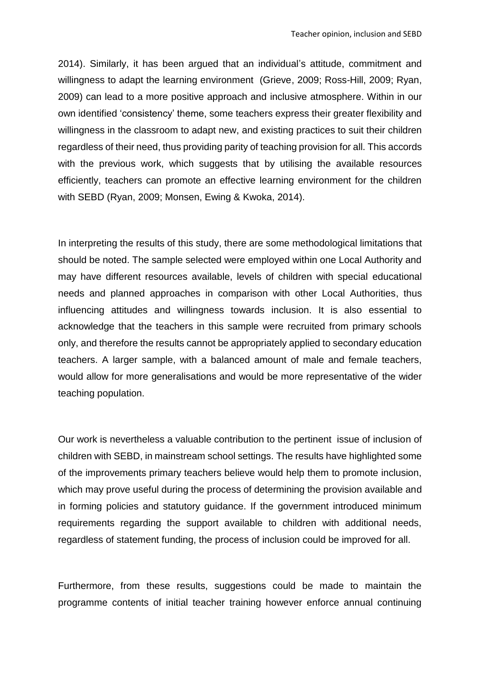2014). Similarly, it has been argued that an individual's attitude, commitment and willingness to adapt the learning environment (Grieve, 2009; Ross-Hill, 2009; Ryan, 2009) can lead to a more positive approach and inclusive atmosphere. Within in our own identified 'consistency' theme, some teachers express their greater flexibility and willingness in the classroom to adapt new, and existing practices to suit their children regardless of their need, thus providing parity of teaching provision for all. This accords with the previous work, which suggests that by utilising the available resources efficiently, teachers can promote an effective learning environment for the children with SEBD (Ryan, 2009; Monsen, Ewing & Kwoka, 2014).

In interpreting the results of this study, there are some methodological limitations that should be noted. The sample selected were employed within one Local Authority and may have different resources available, levels of children with special educational needs and planned approaches in comparison with other Local Authorities, thus influencing attitudes and willingness towards inclusion. It is also essential to acknowledge that the teachers in this sample were recruited from primary schools only, and therefore the results cannot be appropriately applied to secondary education teachers. A larger sample, with a balanced amount of male and female teachers, would allow for more generalisations and would be more representative of the wider teaching population.

Our work is nevertheless a valuable contribution to the pertinent issue of inclusion of children with SEBD, in mainstream school settings. The results have highlighted some of the improvements primary teachers believe would help them to promote inclusion, which may prove useful during the process of determining the provision available and in forming policies and statutory guidance. If the government introduced minimum requirements regarding the support available to children with additional needs, regardless of statement funding, the process of inclusion could be improved for all.

Furthermore, from these results, suggestions could be made to maintain the programme contents of initial teacher training however enforce annual continuing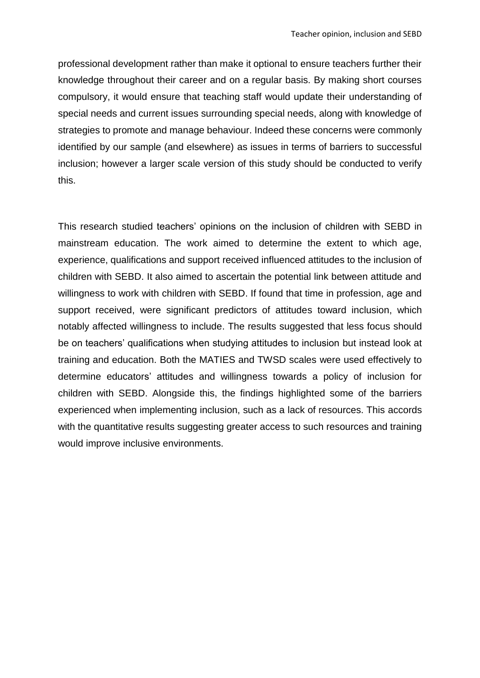professional development rather than make it optional to ensure teachers further their knowledge throughout their career and on a regular basis. By making short courses compulsory, it would ensure that teaching staff would update their understanding of special needs and current issues surrounding special needs, along with knowledge of strategies to promote and manage behaviour. Indeed these concerns were commonly identified by our sample (and elsewhere) as issues in terms of barriers to successful inclusion; however a larger scale version of this study should be conducted to verify this.

This research studied teachers' opinions on the inclusion of children with SEBD in mainstream education. The work aimed to determine the extent to which age, experience, qualifications and support received influenced attitudes to the inclusion of children with SEBD. It also aimed to ascertain the potential link between attitude and willingness to work with children with SEBD. If found that time in profession, age and support received, were significant predictors of attitudes toward inclusion, which notably affected willingness to include. The results suggested that less focus should be on teachers' qualifications when studying attitudes to inclusion but instead look at training and education. Both the MATIES and TWSD scales were used effectively to determine educators' attitudes and willingness towards a policy of inclusion for children with SEBD. Alongside this, the findings highlighted some of the barriers experienced when implementing inclusion, such as a lack of resources. This accords with the quantitative results suggesting greater access to such resources and training would improve inclusive environments.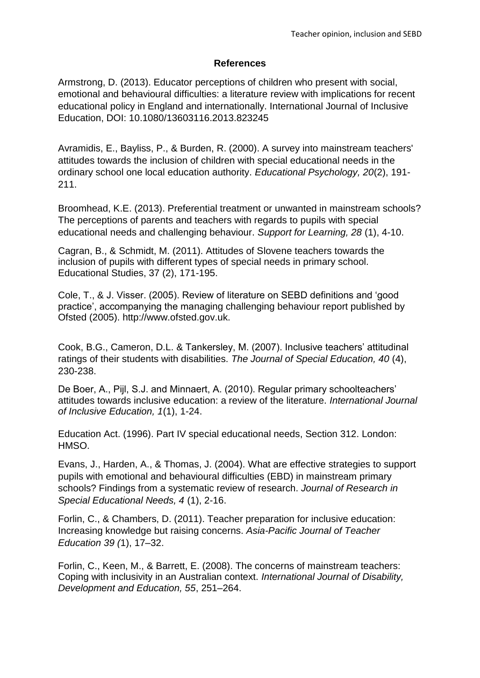## **References**

Armstrong, D. (2013). Educator perceptions of children who present with social, emotional and behavioural difficulties: a literature review with implications for recent educational policy in England and internationally. International Journal of Inclusive Education, DOI: 10.1080/13603116.2013.823245

Avramidis, E., Bayliss, P., & Burden, R. (2000). A survey into mainstream teachers' attitudes towards the inclusion of children with special educational needs in the ordinary school one local education authority. *Educational Psychology, 20*(2), 191- 211.

Broomhead, K.E. (2013). Preferential treatment or unwanted in mainstream schools? The perceptions of parents and teachers with regards to pupils with special educational needs and challenging behaviour. *Support for Learning, 28* (1), 4-10.

Cagran, B., & Schmidt, M. (2011). Attitudes of Slovene teachers towards the inclusion of pupils with different types of special needs in primary school. Educational Studies, 37 (2), 171-195.

Cole, T., & J. Visser. (2005). Review of literature on SEBD definitions and 'good practice', accompanying the managing challenging behaviour report published by Ofsted (2005). http://www.ofsted.gov.uk.

Cook, B.G., Cameron, D.L. & Tankersley, M. (2007). Inclusive teachers' attitudinal ratings of their students with disabilities. *The Journal of Special Education, 40* (4), 230-238.

De Boer, A., Pijl, S.J. and Minnaert, A. (2010). Regular primary schoolteachers' attitudes towards inclusive education: a review of the literature. *International Journal of Inclusive Education, 1*(1), 1-24.

Education Act. (1996). Part IV special educational needs, Section 312. London: HMSO.

Evans, J., Harden, A., & Thomas, J. (2004). What are effective strategies to support pupils with emotional and behavioural difficulties (EBD) in mainstream primary schools? Findings from a systematic review of research. *Journal of Research in Special Educational Needs, 4* (1), 2-16.

Forlin, C., & Chambers, D. (2011). Teacher preparation for inclusive education: Increasing knowledge but raising concerns. *Asia-Pacific Journal of Teacher Education 39 (*1), 17–32.

Forlin, C., Keen, M., & Barrett, E. (2008). The concerns of mainstream teachers: Coping with inclusivity in an Australian context. *International Journal of Disability, Development and Education, 55*, 251–264.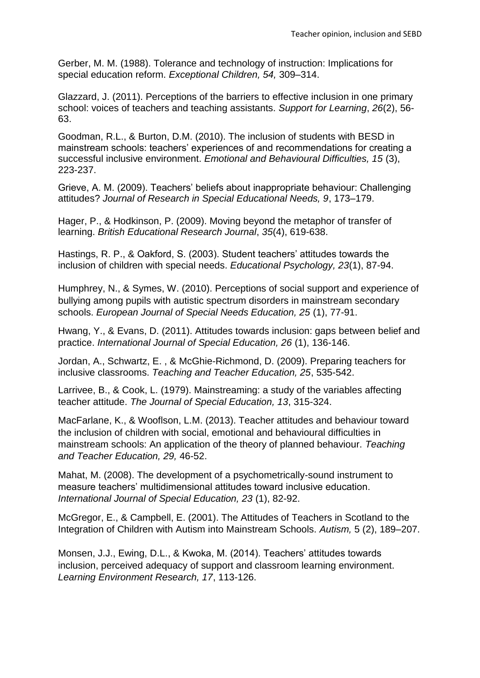Gerber, M. M. (1988). Tolerance and technology of instruction: Implications for special education reform. *Exceptional Children, 54,* 309–314.

Glazzard, J. (2011). Perceptions of the barriers to effective inclusion in one primary school: voices of teachers and teaching assistants. *Support for Learning*, *26*(2), 56- 63.

Goodman, R.L., & Burton, D.M. (2010). The inclusion of students with BESD in mainstream schools: teachers' experiences of and recommendations for creating a successful inclusive environment. *Emotional and Behavioural Difficulties, 15* (3), 223-237.

Grieve, A. M. (2009). Teachers' beliefs about inappropriate behaviour: Challenging attitudes? *Journal of Research in Special Educational Needs, 9*, 173–179.

Hager, P., & Hodkinson, P. (2009). Moving beyond the metaphor of transfer of learning. *British Educational Research Journal*, *35*(4), 619-638.

Hastings, R. P., & Oakford, S. (2003). Student teachers' attitudes towards the inclusion of children with special needs. *Educational Psychology, 23*(1), 87-94.

Humphrey, N., & Symes, W. (2010). Perceptions of social support and experience of bullying among pupils with autistic spectrum disorders in mainstream secondary schools. *European Journal of Special Needs Education, 25* (1), 77-91.

Hwang, Y., & Evans, D. (2011). Attitudes towards inclusion: gaps between belief and practice. *International Journal of Special Education, 26* (1), 136-146.

Jordan, A., Schwartz, E. , & McGhie-Richmond, D. (2009). Preparing teachers for inclusive classrooms. *Teaching and Teacher Education, 25*, 535-542.

Larrivee, B., & Cook, L. (1979). Mainstreaming: a study of the variables affecting teacher attitude. *The Journal of Special Education, 13*, 315-324.

MacFarlane, K., & Wooflson, L.M. (2013). Teacher attitudes and behaviour toward the inclusion of children with social, emotional and behavioural difficulties in mainstream schools: An application of the theory of planned behaviour. *Teaching and Teacher Education, 29,* 46-52.

Mahat, M. (2008). The development of a psychometrically-sound instrument to measure teachers' multidimensional attitudes toward inclusive education. *International Journal of Special Education, 23* (1), 82-92.

McGregor, E., & Campbell, E. (2001). The Attitudes of Teachers in Scotland to the Integration of Children with Autism into Mainstream Schools. *Autism,* 5 (2), 189–207.

Monsen, J.J., Ewing, D.L., & Kwoka, M. (2014). Teachers' attitudes towards inclusion, perceived adequacy of support and classroom learning environment. *Learning Environment Research, 17*, 113-126.